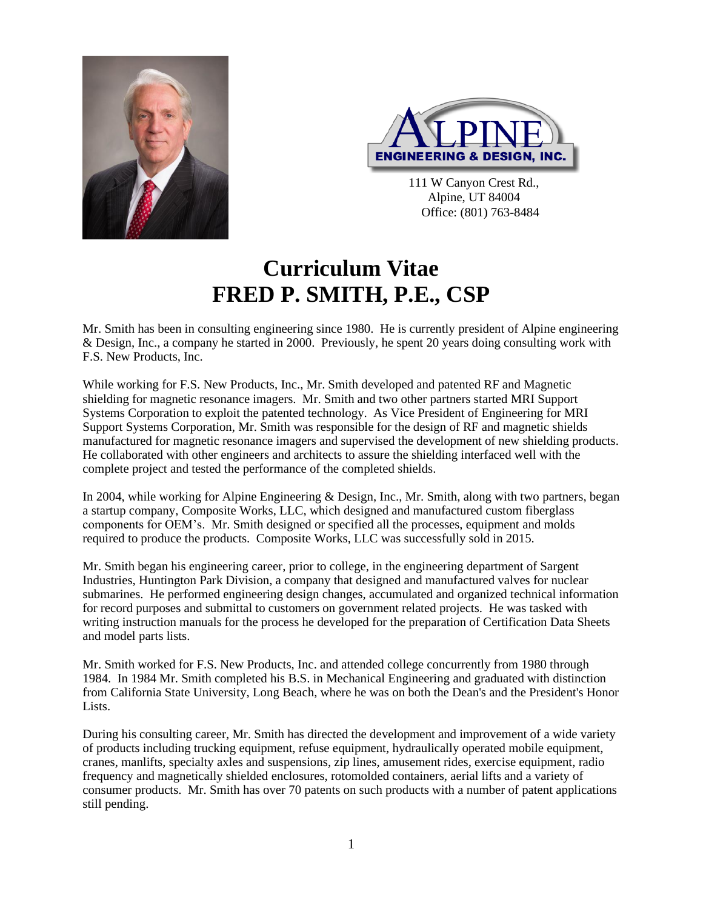



111 W Canyon Crest Rd., Alpine, UT 84004 Office: (801) 763-8484

## **Curriculum Vitae FRED P. SMITH, P.E., CSP**

Mr. Smith has been in consulting engineering since 1980. He is currently president of Alpine engineering & Design, Inc., a company he started in 2000. Previously, he spent 20 years doing consulting work with F.S. New Products, Inc.

While working for F.S. New Products, Inc., Mr. Smith developed and patented RF and Magnetic shielding for magnetic resonance imagers. Mr. Smith and two other partners started MRI Support Systems Corporation to exploit the patented technology. As Vice President of Engineering for MRI Support Systems Corporation, Mr. Smith was responsible for the design of RF and magnetic shields manufactured for magnetic resonance imagers and supervised the development of new shielding products. He collaborated with other engineers and architects to assure the shielding interfaced well with the complete project and tested the performance of the completed shields.

In 2004, while working for Alpine Engineering & Design, Inc., Mr. Smith, along with two partners, began a startup company, Composite Works, LLC, which designed and manufactured custom fiberglass components for OEM's. Mr. Smith designed or specified all the processes, equipment and molds required to produce the products. Composite Works, LLC was successfully sold in 2015.

Mr. Smith began his engineering career, prior to college, in the engineering department of Sargent Industries, Huntington Park Division, a company that designed and manufactured valves for nuclear submarines. He performed engineering design changes, accumulated and organized technical information for record purposes and submittal to customers on government related projects. He was tasked with writing instruction manuals for the process he developed for the preparation of Certification Data Sheets and model parts lists.

Mr. Smith worked for F.S. New Products, Inc. and attended college concurrently from 1980 through 1984. In 1984 Mr. Smith completed his B.S. in Mechanical Engineering and graduated with distinction from California State University, Long Beach, where he was on both the Dean's and the President's Honor Lists.

During his consulting career, Mr. Smith has directed the development and improvement of a wide variety of products including trucking equipment, refuse equipment, hydraulically operated mobile equipment, cranes, manlifts, specialty axles and suspensions, zip lines, amusement rides, exercise equipment, radio frequency and magnetically shielded enclosures, rotomolded containers, aerial lifts and a variety of consumer products. Mr. Smith has over 70 patents on such products with a number of patent applications still pending.